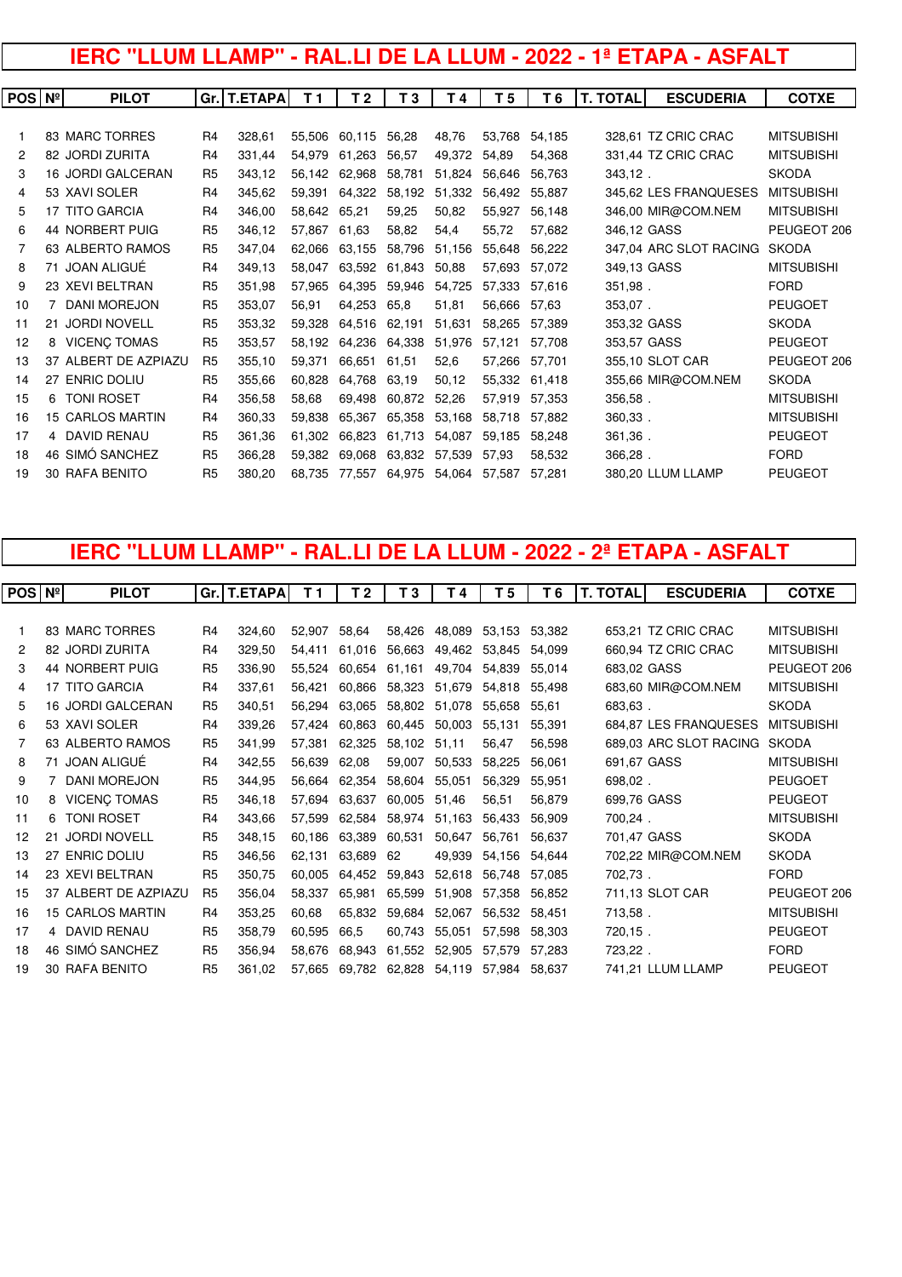# **IERC "LLUM LLAMP" - RAL.LI DE LA LLUM - 2022 - 1ª ETAPA - ASFALT**

| <b>POS Nº</b> |    | <b>PILOT</b>             |                | Gr. T.ETAPA | T 1    | T 2    | T 3    | T4     | T 5    | T 6    | <b>T. TOTAL</b> | <b>ESCUDERIA</b>       | <b>COTXE</b>      |
|---------------|----|--------------------------|----------------|-------------|--------|--------|--------|--------|--------|--------|-----------------|------------------------|-------------------|
|               |    |                          |                |             |        |        |        |        |        |        |                 |                        |                   |
|               |    | 83 MARC TORRES           | R <sub>4</sub> | 328,61      | 55.506 | 60,115 | 56,28  | 48,76  | 53.768 | 54.185 |                 | 328,61 TZ CRIC CRAC    | <b>MITSUBISHI</b> |
| 2             |    | 82 JORDI ZURITA          | R <sub>4</sub> | 331.44      | 54.979 | 61.263 | 56,57  | 49,372 | 54,89  | 54,368 |                 | 331,44 TZ CRIC CRAC    | <b>MITSUBISHI</b> |
| 3             |    | <b>16 JORDI GALCERAN</b> | R <sub>5</sub> | 343,12      | 56.142 | 62.968 | 58,781 | 51.824 | 56.646 | 56.763 | 343,12.         |                        | <b>SKODA</b>      |
| 4             |    | 53 XAVI SOLER            | R <sub>4</sub> | 345,62      | 59.391 | 64,322 | 58,192 | 51.332 | 56.492 | 55.887 |                 | 345,62 LES FRANQUESES  | <b>MITSUBISHI</b> |
| 5             |    | <b>17 TITO GARCIA</b>    | R <sub>4</sub> | 346,00      | 58,642 | 65,21  | 59,25  | 50,82  | 55.927 | 56,148 |                 | 346,00 MIR@COM.NEM     | <b>MITSUBISHI</b> |
| 6             |    | 44 NORBERT PUIG          | R <sub>5</sub> | 346,12      | 57,867 | 61,63  | 58,82  | 54,4   | 55,72  | 57,682 | 346,12 GASS     |                        | PEUGEOT 206       |
|               |    | 63 ALBERTO RAMOS         | R <sub>5</sub> | 347,04      | 62.066 | 63,155 | 58,796 | 51,156 | 55,648 | 56.222 |                 | 347,04 ARC SLOT RACING | <b>SKODA</b>      |
| 8             |    | 71 JOAN ALIGUÉ           | R <sub>4</sub> | 349,13      | 58.047 | 63.592 | 61.843 | 50,88  | 57.693 | 57,072 | 349,13 GASS     |                        | <b>MITSUBISHI</b> |
| 9             |    | 23 XEVI BELTRAN          | R <sub>5</sub> | 351,98      | 57,965 | 64,395 | 59,946 | 54,725 | 57,333 | 57,616 | 351,98.         |                        | <b>FORD</b>       |
| 10            |    | <b>DANI MOREJON</b>      | R <sub>5</sub> | 353,07      | 56,91  | 64.253 | 65,8   | 51,81  | 56.666 | 57,63  | 353,07.         |                        | <b>PEUGOET</b>    |
| 11            |    | 21 JORDI NOVELL          | R <sub>5</sub> | 353,32      | 59.328 | 64,516 | 62,191 | 51,631 | 58.265 | 57.389 | 353,32 GASS     |                        | <b>SKODA</b>      |
| 12            | 8  | <b>VICENÇ TOMAS</b>      | R <sub>5</sub> | 353,57      | 58.192 | 64,236 | 64,338 | 51,976 | 57,121 | 57.708 | 353,57 GASS     |                        | <b>PEUGEOT</b>    |
| 13            |    | 37 ALBERT DE AZPIAZU     | R <sub>5</sub> | 355,10      | 59.371 | 66.651 | 61,51  | 52,6   | 57,266 | 57,701 |                 | 355,10 SLOT CAR        | PEUGEOT 206       |
| 14            | 27 | <b>ENRIC DOLIU</b>       | R <sub>5</sub> | 355,66      | 60.828 | 64,768 | 63,19  | 50,12  | 55.332 | 61.418 |                 | 355,66 MIR@COM.NEM     | <b>SKODA</b>      |
| 15            | 6. | <b>TONI ROSET</b>        | R <sub>4</sub> | 356,58      | 58,68  | 69,498 | 60,872 | 52,26  | 57,919 | 57.353 | 356,58.         |                        | <b>MITSUBISHI</b> |
| 16            |    | <b>15 CARLOS MARTIN</b>  | R <sub>4</sub> | 360,33      | 59.838 | 65,367 | 65,358 | 53,168 | 58.718 | 57.882 | 360,33.         |                        | <b>MITSUBISHI</b> |
| 17            |    | 4 DAVID RENAU            | R <sub>5</sub> | 361,36      | 61.302 | 66,823 | 61.713 | 54.087 | 59,185 | 58,248 | 361,36.         |                        | <b>PEUGEOT</b>    |
| 18            |    | 46 SIMÓ SANCHEZ          | R <sub>5</sub> | 366,28      | 59.382 | 69.068 | 63.832 | 57,539 | 57,93  | 58,532 | 366,28.         |                        | <b>FORD</b>       |
| 19            |    | <b>30 RAFA BENITO</b>    | R <sub>5</sub> | 380.20      | 68.735 | 77,557 | 64.975 | 54.064 | 57,587 | 57.281 |                 | 380,20 LLUM LLAMP      | <b>PEUGEOT</b>    |
|               |    |                          |                |             |        |        |        |        |        |        |                 |                        |                   |

# **IERC "LLUM LLAMP" - RAL.LI DE LA LLUM - 2022 - 2ª ETAPA - ASFALT**

| POS N <sup>°</sup> |    | <b>PILOT</b>            |                | Gr.   T.ETAPA | T <sub>1</sub> | T 2    | T <sub>3</sub> | T 4    | T 5    | T6     | <b>T. TOTAL</b> | <b>ESCUDERIA</b>       | <b>COTXE</b>      |
|--------------------|----|-------------------------|----------------|---------------|----------------|--------|----------------|--------|--------|--------|-----------------|------------------------|-------------------|
|                    |    |                         |                |               |                |        |                |        |        |        |                 |                        |                   |
|                    |    | 83 MARC TORRES          | R <sub>4</sub> | 324,60        | 52,907         | 58,64  | 58,426         | 48,089 | 53,153 | 53,382 |                 | 653,21 TZ CRIC CRAC    | <b>MITSUBISHI</b> |
| 2                  |    | 82 JORDI ZURITA         | R4             | 329,50        | 54.411         | 61.016 | 56,663         | 49,462 | 53.845 | 54.099 |                 | 660,94 TZ CRIC CRAC    | <b>MITSUBISHI</b> |
| 3                  |    | 44 NORBERT PUIG         | R <sub>5</sub> | 336,90        | 55,524         | 60.654 | 61,161         | 49,704 | 54.839 | 55.014 | 683,02 GASS     |                        | PEUGEOT 206       |
| 4                  |    | 17 TITO GARCIA          | R <sub>4</sub> | 337,61        | 56.421         | 60.866 | 58,323         | 51,679 | 54.818 | 55.498 |                 | 683,60 MIR@COM.NEM     | <b>MITSUBISHI</b> |
| 5                  |    | 16 JORDI GALCERAN       | R <sub>5</sub> | 340,51        | 56,294         | 63,065 | 58,802         | 51,078 | 55.658 | 55.61  | 683,63.         |                        | <b>SKODA</b>      |
| 6                  |    | 53 XAVI SOLER           | R <sub>4</sub> | 339,26        | 57.424         | 60,863 | 60,445         | 50,003 | 55,131 | 55.391 |                 | 684,87 LES FRANQUESES  | <b>MITSUBISHI</b> |
| 7                  |    | 63 ALBERTO RAMOS        | R <sub>5</sub> | 341,99        | 57,381         | 62,325 | 58,102         | 51,11  | 56,47  | 56,598 |                 | 689,03 ARC SLOT RACING | <b>SKODA</b>      |
| 8                  |    | 71 JOAN ALIGUÉ          | R4             | 342,55        | 56,639         | 62,08  | 59,007         | 50,533 | 58,225 | 56.061 | 691,67 GASS     |                        | <b>MITSUBISHI</b> |
| 9                  | 7  | <b>DANI MOREJON</b>     | R <sub>5</sub> | 344,95        | 56,664         | 62,354 | 58,604         | 55,051 | 56,329 | 55,951 | 698,02.         |                        | <b>PEUGOET</b>    |
| 10                 | 8  | <b>VICENÇ TOMAS</b>     | R <sub>5</sub> | 346,18        | 57.694         | 63,637 | 60,005         | 51,46  | 56,51  | 56,879 |                 | 699,76 GASS            | <b>PEUGEOT</b>    |
| 11                 | 6  | <b>TONI ROSET</b>       | R4             | 343.66        | 57.599         | 62.584 | 58,974         | 51.163 | 56.433 | 56.909 | 700,24.         |                        | <b>MITSUBISHI</b> |
| 12                 | 21 | <b>JORDI NOVELL</b>     | R <sub>5</sub> | 348,15        | 60.186         | 63,389 | 60,531         | 50,647 | 56,761 | 56.637 |                 | 701,47 GASS            | <b>SKODA</b>      |
| 13                 |    | 27 ENRIC DOLIU          | R <sub>5</sub> | 346,56        | 62,131         | 63,689 | 62             | 49,939 | 54,156 | 54,644 |                 | 702,22 MIR@COM.NEM     | <b>SKODA</b>      |
| 14                 |    | 23 XEVI BELTRAN         | R <sub>5</sub> | 350,75        | 60.005         | 64,452 | 59,843         | 52,618 | 56,748 | 57.085 | 702,73.         |                        | <b>FORD</b>       |
| 15                 |    | 37 ALBERT DE AZPIAZU    | R <sub>5</sub> | 356,04        | 58.337         | 65,981 | 65,599         | 51,908 | 57.358 | 56.852 |                 | 711,13 SLOT CAR        | PEUGEOT 206       |
| 16                 |    | <b>15 CARLOS MARTIN</b> | R <sub>4</sub> | 353,25        | 60.68          | 65,832 | 59,684         | 52,067 | 56,532 | 58.451 | 713,58.         |                        | <b>MITSUBISHI</b> |
| 17                 |    | 4 DAVID RENAU           | R <sub>5</sub> | 358,79        | 60,595         | 66,5   | 60,743         | 55,051 | 57,598 | 58.303 | 720,15.         |                        | <b>PEUGEOT</b>    |
| 18                 |    | 46 SIMÓ SANCHEZ         | R <sub>5</sub> | 356,94        | 58,676         | 68,943 | 61,552         | 52,905 | 57,579 | 57,283 | 723,22.         |                        | <b>FORD</b>       |
| 19                 |    | 30 RAFA BENITO          | R <sub>5</sub> | 361,02        | 57,665         | 69,782 | 62,828         | 54,119 | 57,984 | 58.637 |                 | 741,21 LLUM LLAMP      | <b>PEUGEOT</b>    |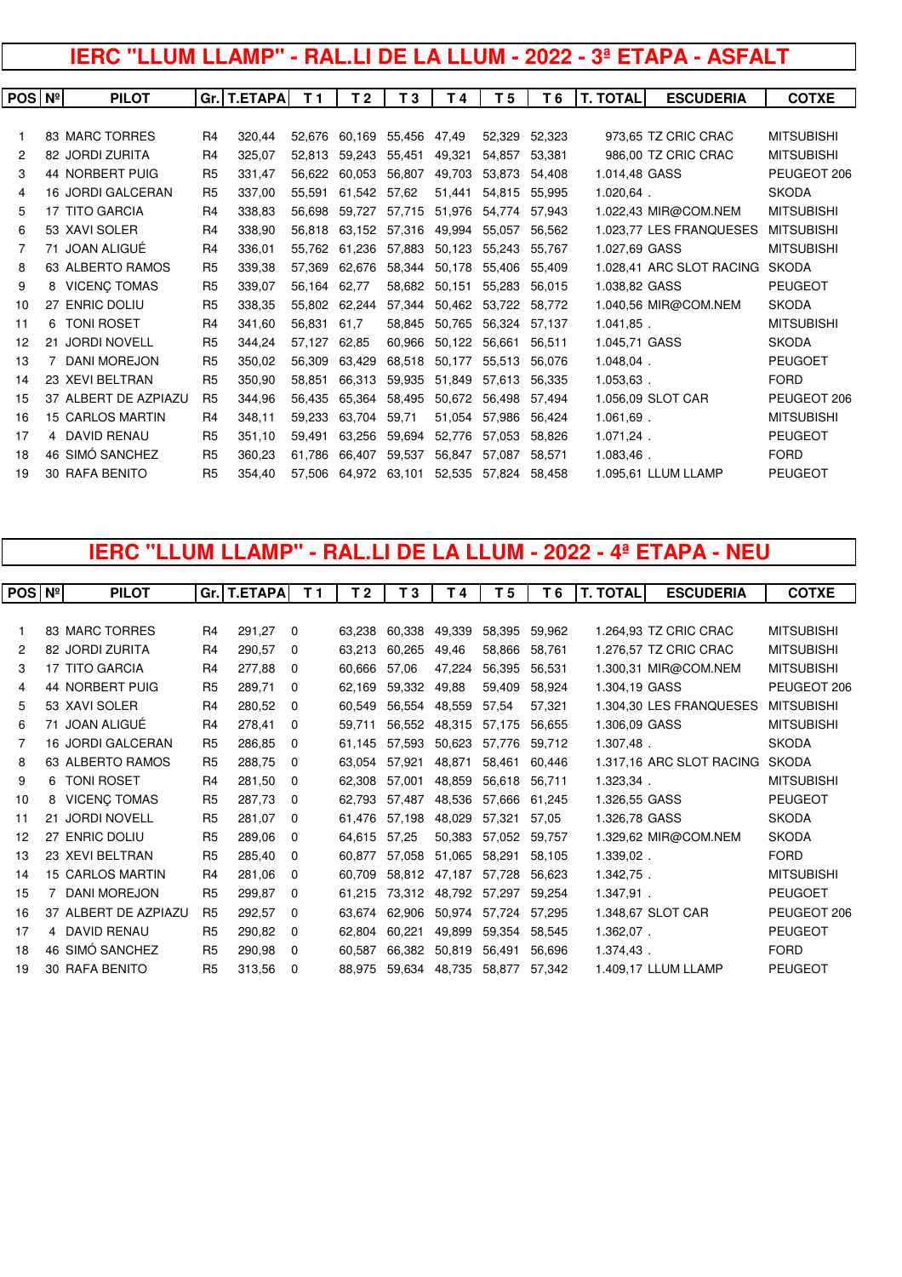# **IERC "LLUM LLAMP" - RAL.LI DE LA LLUM - 2022 - 3ª ETAPA - ASFALT**

| <b>POS Nº</b> | <b>PILOT</b>             |                | Gr.   T.ETAPA | T <sub>1</sub> | T 2    | T <sub>3</sub> | T4     | T <sub>5</sub> | T <sub>6</sub> | <b>T. TOTAL</b> | <b>ESCUDERIA</b>         | <b>COTXE</b>      |
|---------------|--------------------------|----------------|---------------|----------------|--------|----------------|--------|----------------|----------------|-----------------|--------------------------|-------------------|
|               |                          |                |               |                |        |                |        |                |                |                 |                          |                   |
|               | 83 MARC TORRES           | R <sub>4</sub> | 320.44        | 52.676         | 60.169 | 55,456         | 47,49  | 52.329         | 52,323         |                 | 973,65 TZ CRIC CRAC      | <b>MITSUBISHI</b> |
| 2             | 82 JORDI ZURITA          | R <sub>4</sub> | 325,07        | 52.813         | 59,243 | 55,451         | 49,321 | 54.857         | 53,381         |                 | 986,00 TZ CRIC CRAC      | <b>MITSUBISHI</b> |
| 3             | 44 NORBERT PUIG          | R <sub>5</sub> | 331.47        | 56.622         | 60.053 | 56.807         | 49,703 | 53.873         | 54.408         | 1.014,48 GASS   |                          | PEUGEOT 206       |
| 4             | <b>16 JORDI GALCERAN</b> | R <sub>5</sub> | 337,00        | 55.591         | 61.542 | 57.62          | 51,441 | 54.815         | 55.995         | $1.020.64$ .    |                          | <b>SKODA</b>      |
| 5             | 17 TITO GARCIA           | R <sub>4</sub> | 338.83        | 56.698         | 59.727 | 57,715         | 51,976 | 54.774         | 57.943         |                 | 1.022,43 MIR@COM.NEM     | <b>MITSUBISHI</b> |
| 6             | 53 XAVI SOLER            | R <sub>4</sub> | 338,90        | 56.818         | 63.152 | 57.316         | 49.994 | 55,057         | 56,562         |                 | 1.023,77 LES FRANQUESES  | <b>MITSUBISHI</b> |
|               | 71 JOAN ALIGUÉ           | R <sub>4</sub> | 336.01        | 55.762         | 61.236 | 57.883         | 50.123 | 55.243         | 55.767         | 1.027,69 GASS   |                          | <b>MITSUBISHI</b> |
| 8             | 63 ALBERTO RAMOS         | R <sub>5</sub> | 339,38        | 57.369         | 62.676 | 58.344         | 50,178 | 55,406         | 55,409         |                 | 1.028,41 ARC SLOT RACING | <b>SKODA</b>      |
| 9             | 8 VICENÇ TOMAS           | R <sub>5</sub> | 339,07        | 56.164         | 62.77  | 58,682         | 50,151 | 55,283         | 56,015         | 1.038,82 GASS   |                          | <b>PEUGEOT</b>    |
| 10            | 27 ENRIC DOLIU           | R <sub>5</sub> | 338,35        | 55.802         | 62.244 | 57.344         | 50,462 | 53.722         | 58.772         |                 | 1.040,56 MIR@COM.NEM     | <b>SKODA</b>      |
| 11            | 6 TONI ROSET             | R <sub>4</sub> | 341,60        | 56.831         | 61,7   | 58.845         | 50,765 | 56.324         | 57.137         | $1.041.85$ .    |                          | <b>MITSUBISHI</b> |
| 12            | 21 JORDI NOVELL          | R <sub>5</sub> | 344,24        | 57,127         | 62,85  | 60,966         | 50,122 | 56,661         | 56,511         | 1.045,71 GASS   |                          | <b>SKODA</b>      |
| 13            | 7 DANI MOREJON           | R <sub>5</sub> | 350,02        | 56.309         | 63,429 | 68,518         | 50,177 | 55,513         | 56,076         | 1.048,04.       |                          | <b>PEUGOET</b>    |
| 14            | 23 XEVI BELTRAN          | R <sub>5</sub> | 350,90        | 58.851         | 66.313 | 59.935         | 51.849 | 57.613         | 56.335         | 1.053,63.       |                          | <b>FORD</b>       |
| 15            | 37 ALBERT DE AZPIAZU     | R <sub>5</sub> | 344.96        | 56.435         | 65.364 | 58.495         | 50.672 | 56.498         | 57.494         |                 | 1.056,09 SLOT CAR        | PEUGEOT 206       |
| 16            | <b>15 CARLOS MARTIN</b>  | R <sub>4</sub> | 348,11        | 59.233         | 63.704 | 59,71          | 51,054 | 57.986         | 56.424         | 1.061,69.       |                          | <b>MITSUBISHI</b> |
| 17            | 4 DAVID RENAU            | R <sub>5</sub> | 351,10        | 59.491         | 63.256 | 59,694         | 52,776 | 57.053         | 58,826         | $1.071,24$ .    |                          | <b>PEUGEOT</b>    |
| 18            | 46 SIMÓ SANCHEZ          | R <sub>5</sub> | 360,23        | 61.786         | 66.407 | 59,537         | 56,847 | 57.087         | 58.571         | 1.083,46.       |                          | <b>FORD</b>       |
| 19            | <b>30 RAFA BENITO</b>    | R <sub>5</sub> | 354.40        | 57,506         | 64.972 | 63,101         | 52,535 | 57.824         | 58.458         |                 | 1.095,61 LLUM LLAMP      | <b>PEUGEOT</b>    |
|               |                          |                |               |                |        |                |        |                |                |                 |                          |                   |

# **IERC "LLUM LLAMP" - RAL.LI DE LA LLUM - 2022 - 4ª ETAPA - NEU**

| $POS\vert N^{\circ}\vert$ |    | <b>PILOT</b>             |                | Gr.   T.ETAPA | T <sub>1</sub> | T 2    | T <sub>3</sub> | T 4    | T 5    | T6     | <b>T. TOTAL</b> | <b>ESCUDERIA</b>         | <b>COTXE</b>      |
|---------------------------|----|--------------------------|----------------|---------------|----------------|--------|----------------|--------|--------|--------|-----------------|--------------------------|-------------------|
|                           |    |                          |                |               |                |        |                |        |        |        |                 |                          |                   |
|                           |    | 83 MARC TORRES           | R <sub>4</sub> | 291,27        | $\Omega$       | 63,238 | 60,338         | 49,339 | 58,395 | 59,962 |                 | 1.264,93 TZ CRIC CRAC    | <b>MITSUBISHI</b> |
| 2                         |    | 82 JORDI ZURITA          | R <sub>4</sub> | 290,57        | 0              | 63,213 | 60,265         | 49,46  | 58,866 | 58,761 |                 | 1.276,57 TZ CRIC CRAC    | <b>MITSUBISHI</b> |
| 3                         |    | 17 TITO GARCIA           | R4             | 277,88        | 0              | 60,666 | 57,06          | 47,224 | 56,395 | 56,531 |                 | 1.300,31 MIR@COM.NEM     | <b>MITSUBISHI</b> |
| 4                         |    | 44 NORBERT PUIG          | R <sub>5</sub> | 289,71        | $\Omega$       | 62,169 | 59,332         | 49,88  | 59,409 | 58.924 | 1.304,19 GASS   |                          | PEUGEOT 206       |
| 5                         |    | 53 XAVI SOLER            | R <sub>4</sub> | 280,52        | $\Omega$       | 60,549 | 56,554         | 48,559 | 57,54  | 57,321 |                 | 1.304,30 LES FRANQUESES  | <b>MITSUBISHI</b> |
| 6                         |    | 71 JOAN ALIGUÉ           | R <sub>4</sub> | 278,41        | $\Omega$       | 59,711 | 56.552         | 48,315 | 57,175 | 56.655 | 1.306,09 GASS   |                          | <b>MITSUBISHI</b> |
| 7                         |    | <b>16 JORDI GALCERAN</b> | R <sub>5</sub> | 286,85        | $\Omega$       | 61,145 | 57.593         | 50,623 | 57,776 | 59.712 | 1.307,48.       |                          | <b>SKODA</b>      |
| 8                         |    | 63 ALBERTO RAMOS         | R <sub>5</sub> | 288,75        | 0              | 63,054 | 57,921         | 48,871 | 58,461 | 60,446 |                 | 1.317,16 ARC SLOT RACING | <b>SKODA</b>      |
| 9                         |    | 6 TONI ROSET             | R <sub>4</sub> | 281,50        | $\Omega$       | 62,308 | 57,001         | 48,859 | 56,618 | 56,711 | 1.323,34.       |                          | <b>MITSUBISHI</b> |
| 10                        | 8  | <b>VICENÇ TOMAS</b>      | R <sub>5</sub> | 287,73        | $\Omega$       | 62.793 | 57.487         | 48,536 | 57,666 | 61,245 | 1.326,55 GASS   |                          | <b>PEUGEOT</b>    |
| 11                        |    | 21 JORDI NOVELL          | R <sub>5</sub> | 281,07        | $\Omega$       | 61,476 | 57.198         | 48,029 | 57,321 | 57,05  | 1.326,78 GASS   |                          | <b>SKODA</b>      |
| 12                        | 27 | <b>ENRIC DOLIU</b>       | R <sub>5</sub> | 289,06        | $\Omega$       | 64.615 | 57.25          | 50,383 | 57,052 | 59,757 |                 | 1.329,62 MIR@COM.NEM     | <b>SKODA</b>      |
| 13                        |    | 23 XEVI BELTRAN          | R <sub>5</sub> | 285,40        | $\Omega$       | 60,877 | 57,058         | 51,065 | 58,291 | 58,105 | 1.339,02.       |                          | <b>FORD</b>       |
| 14                        |    | <b>15 CARLOS MARTIN</b>  | R <sub>4</sub> | 281,06        | $\Omega$       | 60,709 | 58,812         | 47,187 | 57,728 | 56,623 | 1.342,75.       |                          | <b>MITSUBISHI</b> |
| 15                        |    | <b>DANI MOREJON</b>      | R <sub>5</sub> | 299,87        | 0              | 61.215 | 73.312         | 48,792 | 57,297 | 59.254 | 1.347,91.       |                          | <b>PEUGOET</b>    |
| 16                        |    | 37 ALBERT DE AZPIAZU     | R <sub>5</sub> | 292,57        | $\Omega$       | 63,674 | 62.906         | 50,974 | 57,724 | 57,295 |                 | 1.348,67 SLOT CAR        | PEUGEOT 206       |
| 17                        |    | 4 DAVID RENAU            | R <sub>5</sub> | 290,82        | 0              | 62.804 | 60,221         | 49,899 | 59,354 | 58,545 | 1.362,07.       |                          | <b>PEUGEOT</b>    |
| 18                        |    | 46 SIMÓ SANCHEZ          | R <sub>5</sub> | 290,98        | $\Omega$       | 60,587 | 66,382         | 50,819 | 56,491 | 56,696 | $1.374,43$ .    |                          | <b>FORD</b>       |
| 19                        |    | <b>30 RAFA BENITO</b>    | R <sub>5</sub> | 313,56        | 0              | 88.975 | 59,634         | 48,735 | 58,877 | 57,342 |                 | 1.409,17 LLUM LLAMP      | <b>PEUGEOT</b>    |